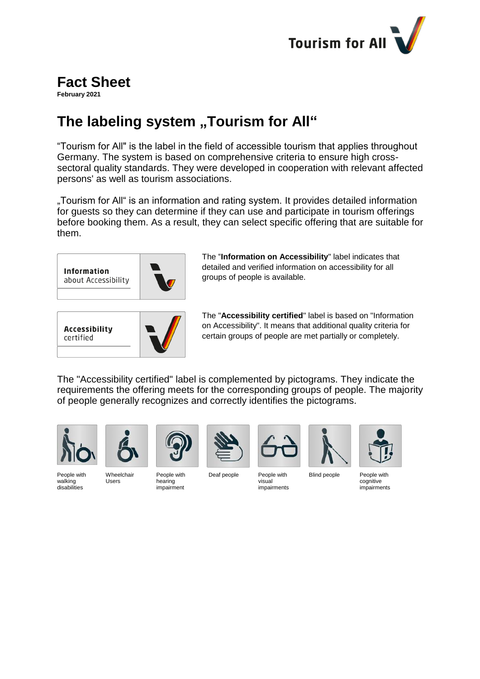

### **Fact Sheet**

**February 2021**

# **The labeling system "Tourism for All"**

"Tourism for All" is the label in the field of accessible tourism that applies throughout Germany. The system is based on comprehensive criteria to ensure high crosssectoral quality standards. They were developed in cooperation with relevant affected persons' as well as tourism associations.

"Tourism for All" is an information and rating system. It provides detailed information for guests so they can determine if they can use and participate in tourism offerings before booking them. As a result, they can select specific offering that are suitable for them.



The "**Information on Accessibility**" label indicates that detailed and verified information on accessibility for all groups of people is available.



The "**Accessibility certified**" label is based on "Information on Accessibility". It means that additional quality criteria for certain groups of people are met partially or completely.

The "Accessibility certified" label is complemented by pictograms. They indicate the requirements the offering meets for the corresponding groups of people. The majority of people generally recognizes and correctly identifies the pictograms.







Wheelchair Users

People with hearing impairment



Deaf people People with



visual impairments



Blind people People with cognitive impairments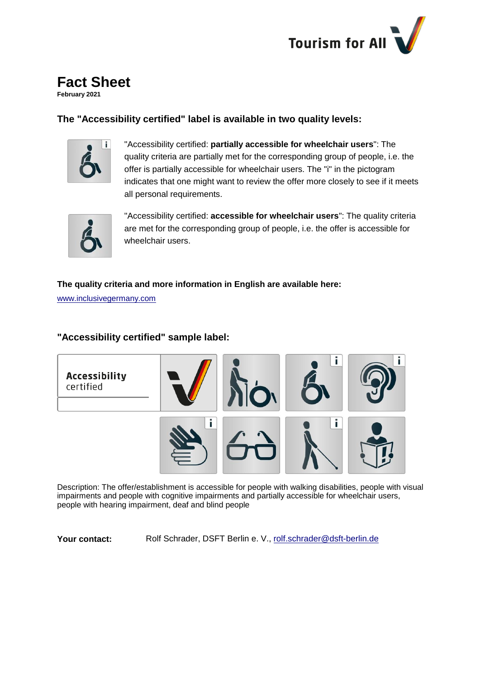

# **Fact Sheet**

**February 2021**

### **The "Accessibility certified" label is available in two quality levels:**



"Accessibility certified: **partially accessible for wheelchair users**": The quality criteria are partially met for the corresponding group of people, i.e. the offer is partially accessible for wheelchair users. The "i" in the pictogram indicates that one might want to review the offer more closely to see if it meets all personal requirements.



"Accessibility certified: **accessible for wheelchair users**": The quality criteria are met for the corresponding group of people, i.e. the offer is accessible for wheelchair users.

#### **The quality criteria and more information in English are available here:**

[www.inclusivegermany.com](http://www.inclusivegermany.com/)

### **"Accessibility certified" sample label:**



Description: The offer/establishment is accessible for people with walking disabilities, people with visual impairments and people with cognitive impairments and partially accessible for wheelchair users, people with hearing impairment, deaf and blind people

Your contact: Rolf Schrader, DSFT Berlin e. V., [rolf.schrader@dsft-berlin.de](mailto:rolf.schrader@dsft-berlin.de)